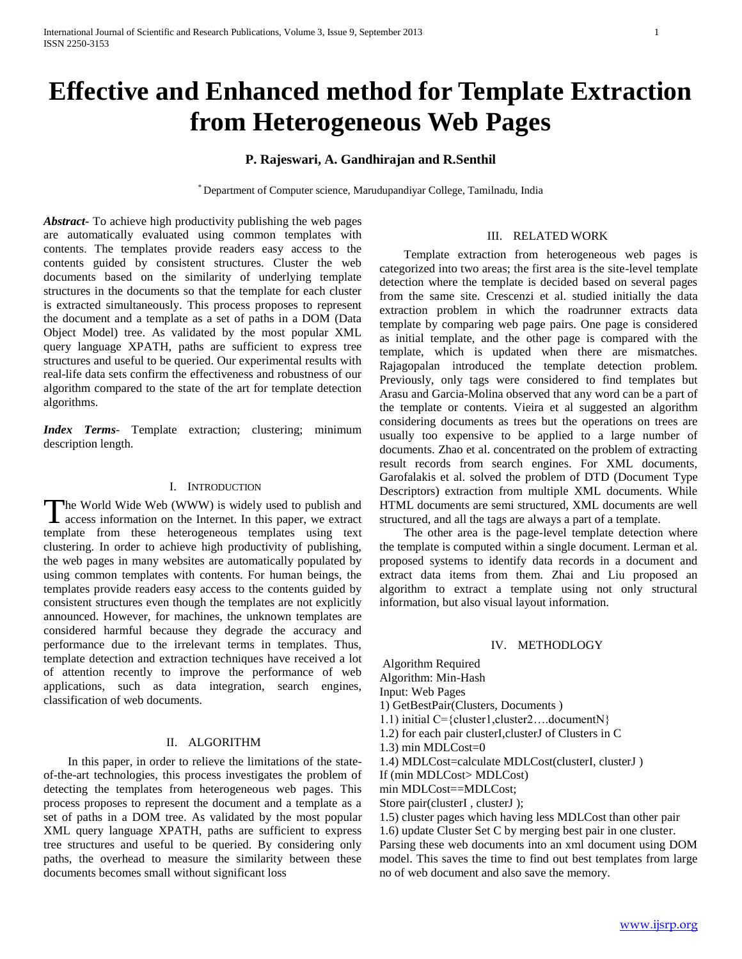# **Effective and Enhanced method for Template Extraction from Heterogeneous Web Pages**

## **P. Rajeswari, A. Gandhirajan and R.Senthil**

\* Department of Computer science, Marudupandiyar College, Tamilnadu, India

*Abstract***-** To achieve high productivity publishing the web pages are automatically evaluated using common templates with contents. The templates provide readers easy access to the contents guided by consistent structures. Cluster the web documents based on the similarity of underlying template structures in the documents so that the template for each cluster is extracted simultaneously. This process proposes to represent the document and a template as a set of paths in a DOM (Data Object Model) tree. As validated by the most popular XML query language XPATH, paths are sufficient to express tree structures and useful to be queried. Our experimental results with real-life data sets confirm the effectiveness and robustness of our algorithm compared to the state of the art for template detection algorithms.

*Index Terms*- Template extraction; clustering; minimum description length.

### I. INTRODUCTION

he World Wide Web (WWW) is widely used to publish and The World Wide Web (WWW) is widely used to publish and access information on the Internet. In this paper, we extract template from these heterogeneous templates using text clustering. In order to achieve high productivity of publishing, the web pages in many websites are automatically populated by using common templates with contents. For human beings, the templates provide readers easy access to the contents guided by consistent structures even though the templates are not explicitly announced. However, for machines, the unknown templates are considered harmful because they degrade the accuracy and performance due to the irrelevant terms in templates. Thus, template detection and extraction techniques have received a lot of attention recently to improve the performance of web applications, such as data integration, search engines, classification of web documents.

## II. ALGORITHM

 In this paper, in order to relieve the limitations of the stateof-the-art technologies, this process investigates the problem of detecting the templates from heterogeneous web pages. This process proposes to represent the document and a template as a set of paths in a DOM tree. As validated by the most popular XML query language XPATH, paths are sufficient to express tree structures and useful to be queried. By considering only paths, the overhead to measure the similarity between these documents becomes small without significant loss

#### III. RELATED WORK

 Template extraction from heterogeneous web pages is categorized into two areas; the first area is the site-level template detection where the template is decided based on several pages from the same site. Crescenzi et al. studied initially the data extraction problem in which the roadrunner extracts data template by comparing web page pairs. One page is considered as initial template, and the other page is compared with the template, which is updated when there are mismatches. Rajagopalan introduced the template detection problem. Previously, only tags were considered to find templates but Arasu and Garcia-Molina observed that any word can be a part of the template or contents. Vieira et al suggested an algorithm considering documents as trees but the operations on trees are usually too expensive to be applied to a large number of documents. Zhao et al. concentrated on the problem of extracting result records from search engines. For XML documents, Garofalakis et al. solved the problem of DTD (Document Type Descriptors) extraction from multiple XML documents. While HTML documents are semi structured, XML documents are well structured, and all the tags are always a part of a template.

 The other area is the page-level template detection where the template is computed within a single document. Lerman et al. proposed systems to identify data records in a document and extract data items from them. Zhai and Liu proposed an algorithm to extract a template using not only structural information, but also visual layout information.

### IV. METHODLOGY

Algorithm Required Algorithm: Min-Hash

Input: Web Pages

1) GetBestPair(Clusters, Documents )

1.1) initial C={cluster1,cluster2….documentN}

1.2) for each pair clusterI,clusterJ of Clusters in C

1.3) min MDLCost=0

1.4) MDLCost=calculate MDLCost(clusterI, clusterJ )

If (min MDLCost> MDLCost)

min MDLCost==MDLCost;

Store pair(clusterI, clusterJ);

1.5) cluster pages which having less MDLCost than other pair 1.6) update Cluster Set C by merging best pair in one cluster. Parsing these web documents into an xml document using DOM model. This saves the time to find out best templates from large no of web document and also save the memory.